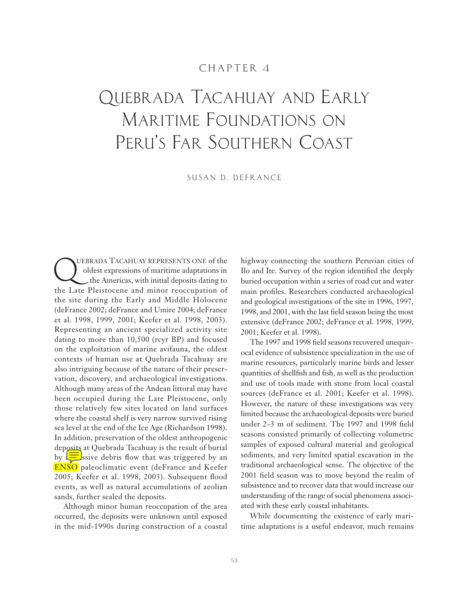# $CHAPTER 4$

# Quebrada Tacahuay and Early Maritime Foundations on Peru's Far Southern Coast

SUSAN D. DEFRANCE

Quebrada Tacahuay represents one of the the Americas, with initial deposits dating to oldest expressions of maritime adaptations in the Late Pleistocene and minor reoccupation of the site during the Early and Middle Holocene (deFrance 2002; deFrance and Umire 2004; deFrance et al. 1998, 1999, 2001; Keefer et al. 1998, 2003). Representing an ancient specialized activity site dating to more than 10,500 (rcyr BP) and focused on the exploitation of marine avifauna, the oldest contexts of human use at Quebrada Tacahuay are also intriguing because of the nature of their preservation, discovery, and archaeological investigations. Although many areas of the Andean littoral may have been occupied during the Late Pleistocene, only those relatively few sites located on land surfaces where the coastal shelf is very narrow survived rising sea level at the end of the Ice Age (Richardson 1998). In addition, preservation of the oldest anthropogenic deposits at Quebrada Tacahuay is the result of burial by  $\leftarrow$  sive debris flow that was triggered by an **ENSO** paleoclimatic event (deFrance and Keefer 2005; Keefer et al. 1998, 2003). Subsequent flood events, as well as natural accumulations of aeolian sands, further sealed the deposits.

Although minor human reoccupation of the area occurred, the deposits were unknown until exposed in the mid-1990s during construction of a coastal highway connecting the southern Peruvian cities of Ilo and Ite. Survey of the region identified the deeply buried occupation within a series of road cut and water main profiles. Researchers conducted archaeological and geological investigations of the site in 1996, 1997, 1998, and 2001, with the last field season being the most extensive (deFrance 2002; deFrance et al. 1998, 1999, 2001; Keefer et al. 1998).

The 1997 and 1998 field seasons recovered unequivocal evidence of subsistence specialization in the use of marine resources, particularly marine birds and lesser quantities of shellfish and fish, as well as the production and use of tools made with stone from local coastal sources (deFrance et al. 2001; Keefer et al. 1998). However, the nature of these investigations was very limited because the archaeological deposits were buried under 2–3 m of sediment. The 1997 and 1998 field seasons consisted primarily of collecting volumetric samples of exposed cultural material and geological sediments, and very limited spatial excavation in the traditional archaeological sense. The objective of the 2001 field season was to move beyond the realm of subsistence and to recover data that would increase our understanding of the range of social phenomena associated with these early coastal inhabitants.

While documenting the existence of early maritime adaptations is a useful endeavor, much remains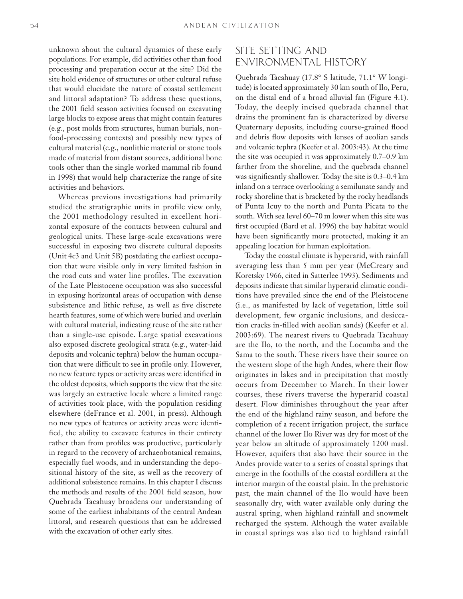unknown about the cultural dynamics of these early populations. For example, did activities other than food processing and preparation occur at the site? Did the site hold evidence of structures or other cultural refuse that would elucidate the nature of coastal settlement and littoral adaptation? To address these questions, the 2001 field season activities focused on excavating large blocks to expose areas that might contain features (e.g., post molds from structures, human burials, nonfood-processing contexts) and possibly new types of cultural material (e.g., nonlithic material or stone tools made of material from distant sources, additional bone tools other than the single worked mammal rib found in 1998) that would help characterize the range of site activities and behaviors.

Whereas previous investigations had primarily studied the stratigraphic units in profile view only, the 2001 methodology resulted in excellent horizontal exposure of the contacts between cultural and geological units. These large-scale excavations were successful in exposing two discrete cultural deposits (Unit 4c3 and Unit 5B) postdating the earliest occupation that were visible only in very limited fashion in the road cuts and water line profiles. The excavation of the Late Pleistocene occupation was also successful in exposing horizontal areas of occupation with dense subsistence and lithic refuse, as well as five discrete hearth features, some of which were buried and overlain with cultural material, indicating reuse of the site rather than a single-use episode. Large spatial excavations also exposed discrete geological strata (e.g., water-laid deposits and volcanic tephra) below the human occupation that were difficult to see in profile only. However, no new feature types or activity areas were identified in the oldest deposits, which supports the view that the site was largely an extractive locale where a limited range of activities took place, with the population residing elsewhere (deFrance et al. 2001, in press). Although no new types of features or activity areas were identified, the ability to excavate features in their entirety rather than from profiles was productive, particularly in regard to the recovery of archaeobotanical remains, especially fuel woods, and in understanding the depositional history of the site, as well as the recovery of additional subsistence remains. In this chapter I discuss the methods and results of the 2001 field season, how Quebrada Tacahuay broadens our understanding of some of the earliest inhabitants of the central Andean littoral, and research questions that can be addressed with the excavation of other early sites.

## SITE SETTING AND Environmental History

Quebrada Tacahuay (17.8° S latitude, 71.1° W longitude) is located approximately 30 km south of Ilo, Peru, on the distal end of a broad alluvial fan (Figure 4.1). Today, the deeply incised quebrada channel that drains the prominent fan is characterized by diverse Quaternary deposits, including course-grained flood and debris flow deposits with lenses of aeolian sands and volcanic tephra (Keefer et al. 2003:43). At the time the site was occupied it was approximately 0.7–0.9 km farther from the shoreline, and the quebrada channel was significantly shallower. Today the site is 0.3–0.4 km inland on a terrace overlooking a semilunate sandy and rocky shoreline that is bracketed by the rocky headlands of Punta Icuy to the north and Punta Picata to the south. With sea level 60–70 m lower when this site was first occupied (Bard et al. 1996) the bay habitat would have been significantly more protected, making it an appealing location for human exploitation.

Today the coastal climate is hyperarid, with rainfall averaging less than 5 mm per year (McCreary and Koretsky 1966, cited in Satterlee 1993). Sediments and deposits indicate that similar hyperarid climatic conditions have prevailed since the end of the Pleistocene (i.e., as manifested by lack of vegetation, little soil development, few organic inclusions, and desiccation cracks in-filled with aeolian sands) (Keefer et al. 2003:69). The nearest rivers to Quebrada Tacahuay are the Ilo, to the north, and the Locumba and the Sama to the south. These rivers have their source on the western slope of the high Andes, where their flow originates in lakes and in precipitation that mostly occurs from December to March. In their lower courses, these rivers traverse the hyperarid coastal desert. Flow diminishes throughout the year after the end of the highland rainy season, and before the completion of a recent irrigation project, the surface channel of the lower Ilo River was dry for most of the year below an altitude of approximately 1200 masl. However, aquifers that also have their source in the Andes provide water to a series of coastal springs that emerge in the foothills of the coastal cordillera at the interior margin of the coastal plain. In the prehistoric past, the main channel of the Ilo would have been seasonally dry, with water available only during the austral spring, when highland rainfall and snowmelt recharged the system. Although the water available in coastal springs was also tied to highland rainfall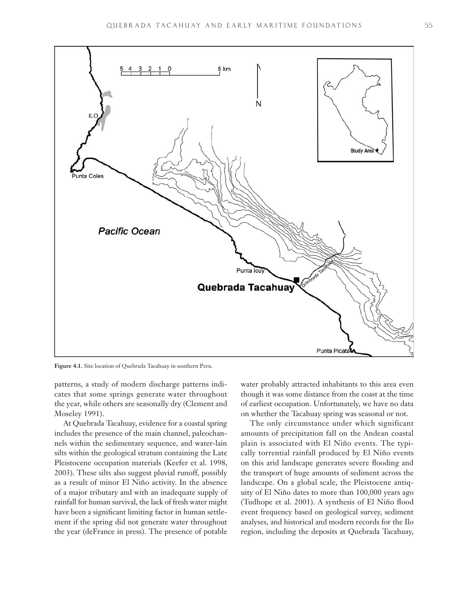

**Figure 4.1.** Site location of Quebrada Tacahuay in southern Peru.

patterns, a study of modern discharge patterns indicates that some springs generate water throughout the year, while others are seasonally dry (Clement and Moseley 1991).

At Quebrada Tacahuay, evidence for a coastal spring includes the presence of the main channel, paleochannels within the sedimentary sequence, and water-lain silts within the geological stratum containing the Late Pleistocene occupation materials (Keefer et al. 1998, 2003). These silts also suggest pluvial runoff, possibly as a result of minor El Niño activity. In the absence of a major tributary and with an inadequate supply of rainfall for human survival, the lack of fresh water might have been a significant limiting factor in human settlement if the spring did not generate water throughout the year (deFrance in press). The presence of potable water probably attracted inhabitants to this area even though it was some distance from the coast at the time of earliest occupation. Unfortunately, we have no data on whether the Tacahuay spring was seasonal or not.

The only circumstance under which significant amounts of precipitation fall on the Andean coastal plain is associated with El Niño events. The typically torrential rainfall produced by El Niño events on this arid landscape generates severe flooding and the transport of huge amounts of sediment across the landscape. On a global scale, the Pleistocene antiquity of El Niño dates to more than 100,000 years ago (Tudhope et al. 2001). A synthesis of El Niño flood event frequency based on geological survey, sediment analyses, and historical and modern records for the Ilo region, including the deposits at Quebrada Tacahuay,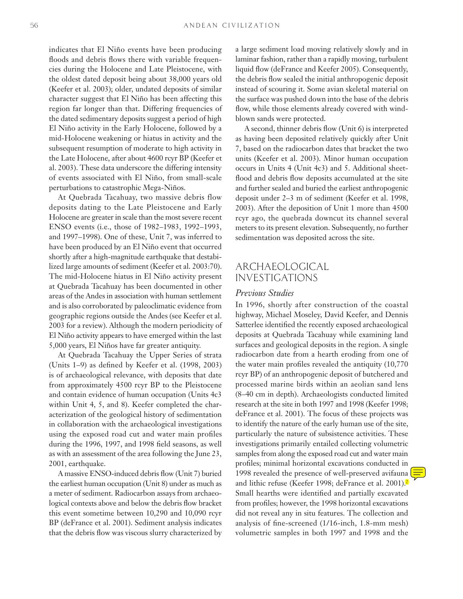indicates that El Niño events have been producing floods and debris flows there with variable frequencies during the Holocene and Late Pleistocene, with the oldest dated deposit being about 38,000 years old (Keefer et al. 2003); older, undated deposits of similar character suggest that El Niño has been affecting this region far longer than that. Differing frequencies of the dated sedimentary deposits suggest a period of high El Niño activity in the Early Holocene, followed by a mid-Holocene weakening or hiatus in activity and the subsequent resumption of moderate to high activity in the Late Holocene, after about 4600 rcyr BP (Keefer et al. 2003). These data underscore the differing intensity of events associated with El Niño, from small-scale perturbations to catastrophic Mega-Niños.

At Quebrada Tacahuay, two massive debris flow deposits dating to the Late Pleistocene and Early Holocene are greater in scale than the most severe recent ENSO events (i.e., those of 1982–1983, 1992–1993, and 1997–1998). One of these, Unit 7, was inferred to have been produced by an El Niño event that occurred shortly after a high-magnitude earthquake that destabilized large amounts of sediment (Keefer et al. 2003:70). The mid-Holocene hiatus in El Niño activity present at Quebrada Tacahuay has been documented in other areas of the Andes in association with human settlement and is also corroborated by paleoclimatic evidence from geographic regions outside the Andes (see Keefer et al. 2003 for a review). Although the modern periodicity of El Niño activity appears to have emerged within the last 5,000 years, El Niños have far greater antiquity.

At Quebrada Tacahuay the Upper Series of strata (Units 1–9) as defined by Keefer et al. (1998, 2003) is of archaeological relevance, with deposits that date from approximately 4500 rcyr BP to the Pleistocene and contain evidence of human occupation (Units 4c3 within Unit 4, 5, and 8). Keefer completed the characterization of the geological history of sedimentation in collaboration with the archaeological investigations using the exposed road cut and water main profiles during the 1996, 1997, and 1998 field seasons, as well as with an assessment of the area following the June 23, 2001, earthquake.

A massive ENSO-induced debris flow (Unit 7) buried the earliest human occupation (Unit 8) under as much as a meter of sediment. Radiocarbon assays from archaeological contexts above and below the debris flow bracket this event sometime between 10,290 and 10,090 rcyr BP (deFrance et al. 2001). Sediment analysis indicates that the debris flow was viscous slurry characterized by a large sediment load moving relatively slowly and in laminar fashion, rather than a rapidly moving, turbulent liquid flow (deFrance and Keefer 2005). Consequently, the debris flow sealed the initial anthropogenic deposit instead of scouring it. Some avian skeletal material on the surface was pushed down into the base of the debris flow, while those elements already covered with windblown sands were protected.

A second, thinner debris flow (Unit 6) is interpreted as having been deposited relatively quickly after Unit 7, based on the radiocarbon dates that bracket the two units (Keefer et al. 2003). Minor human occupation occurs in Units 4 (Unit 4c3) and 5. Additional sheetflood and debris flow deposits accumulated at the site and further sealed and buried the earliest anthropogenic deposit under 2–3 m of sediment (Keefer et al. 1998, 2003). After the deposition of Unit 1 more than 4500 rcyr ago, the quebrada downcut its channel several meters to its present elevation. Subsequently, no further sedimentation was deposited across the site.

## Archaeological Investigations

#### *Previous Studies*

In 1996, shortly after construction of the coastal highway, Michael Moseley, David Keefer, and Dennis Satterlee identified the recently exposed archaeological deposits at Quebrada Tacahuay while examining land surfaces and geological deposits in the region. A single radiocarbon date from a hearth eroding from one of the water main profiles revealed the antiquity (10,770 rcyr BP) of an anthropogenic deposit of butchered and processed marine birds within an aeolian sand lens (8–40 cm in depth). Archaeologists conducted limited research at the site in both 1997 and 1998 (Keefer 1998; deFrance et al. 2001). The focus of these projects was to identify the nature of the early human use of the site, particularly the nature of subsistence activities. These investigations primarily entailed collecting volumetric samples from along the exposed road cut and water main profiles; minimal horizontal excavations conducted in 1998 revealed the presence of well-preserved avifauna  $\frac{\frac{1}{2}}{\frac{1}{2}}$ and lithic refuse (Keefer 1998; deFrance et al. 2001).<sup>2</sup> Small hearths were identified and partially excavated from profiles; however, the 1998 horizontal excavations did not reveal any in situ features. The collection and analysis of fine-screened (1/16-inch, 1.8-mm mesh) volumetric samples in both 1997 and 1998 and the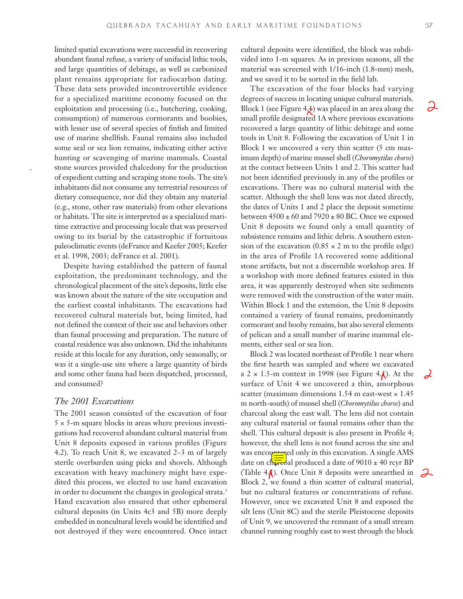limited spatial excavations were successful in recovering abundant faunal refuse, a variety of unifacial lithic tools, and large quantities of debitage, as well as carbonized plant remains appropriate for radiocarbon dating. These data sets provided incontrovertible evidence for a specialized maritime economy focused on the exploitation and processing (i.e., butchering, cooking, consumption) of numerous cormorants and boobies, with lesser use of several species of finfish and limited use of marine shellfish. Faunal remains also included some seal or sea lion remains, indicating either active hunting or scavenging of marine mammals. Coastal stone sources provided chalcedony for the production of expedient cutting and scraping stone tools. The site's inhabitants did not consume any terrestrial resources of dietary consequence, nor did they obtain any material (e.g., stone, other raw materials) from other elevations or habitats. The site is interpreted as a specialized maritime extractive and processing locale that was preserved owing to its burial by the catastrophic if fortuitous paleoclimatic events (deFrance and Keefer 2005; Keefer et al. 1998, 2003; deFrance et al. 2001).

Despite having established the pattern of faunal exploitation, the predominant technology, and the chronological placement of the site's deposits, little else was known about the nature of the site occupation and the earliest coastal inhabitants. The excavations had recovered cultural materials but, being limited, had not defined the context of their use and behaviors other than faunal processing and preparation. The nature of coastal residence was also unknown. Did the inhabitants reside at this locale for any duration, only seasonally, or was it a single-use site where a large quantity of birds and some other fauna had been dispatched, processed, and consumed?

#### *The 2001 Excavations*

The 2001 season consisted of the excavation of four  $5 \times 5$ -m square blocks in areas where previous investigations had recovered abundant cultural material from Unit 8 deposits exposed in various profiles (Figure 4.2). To reach Unit 8, we excavated 2–3 m of largely sterile overburden using picks and shovels. Although excavation with heavy machinery might have expedited this process, we elected to use hand excavation in order to document the changes in geological strata.<sup>3</sup> Hand excavation also ensured that other ephemeral cultural deposits (in Units 4c3 and 5B) more deeply embedded in noncultural levels would be identified and not destroyed if they were encountered. Once intact cultural deposits were identified, the block was subdivided into 1-m squares. As in previous seasons, all the material was screened with 1/16-inch (1.8-mm) mesh, and we saved it to be sorted in the field lab.

The excavation of the four blocks had varying degrees of success in locating unique cultural materials. Block 1 (see Figure  $4.1$ ) was placed in an area along the small profile designated 1A where previous excavations recovered a large quantity of lithic debitage and some tools in Unit 8. Following the excavation of Unit 1 in Block 1 we uncovered a very thin scatter (5 cm maximum depth) of marine mussel shell (*Choromytilus choros*) at the contact between Units 1 and 2. This scatter had not been identified previously in any of the profiles or excavations. There was no cultural material with the scatter. Although the shell lens was not dated directly, the dates of Units 1 and 2 place the deposit sometime between  $4500 \pm 60$  and  $7920 \pm 80$  BC. Once we exposed Unit 8 deposits we found only a small quantity of subsistence remains and lithic debris. A southern extension of the excavation  $(0.85 \times 2 \text{ m})$  to the profile edge) in the area of Profile 1A recovered some additional stone artifacts, but not a discernible workshop area. If a workshop with more defined features existed in this area, it was apparently destroyed when site sediments were removed with the construction of the water main. Within Block 1 and the extension, the Unit 8 deposits contained a variety of faunal remains, predominantly cormorant and booby remains, but also several elements of pelican and a small number of marine mammal elements, either seal or sea lion.

Block 2 was located northeast of Profile 1 near where the first hearth was sampled and where we excavated a 2  $\times$  1.5-m context in 1998 (see Figure 4.A). At the surface of Unit 4 we uncovered a thin, amorphous scatter (maximum dimensions  $1.54$  m east-west  $\times$  1.45 m north-south) of mussel shell (*Choromytilus choros*) and charcoal along the east wall. The lens did not contain any cultural material or faunal remains other than the shell. This cultural deposit is also present in Profile 4; however, the shell lens is not found across the site and was encountered only in this excavation. A single AMS date on charcoal produced a date of  $9010 \pm 40$  rcyr BP (Table  $4\Lambda$ ). Once Unit 8 deposits were unearthed in  $\mathcal{P}$ Block 2, we found a thin scatter of cultural material, but no cultural features or concentrations of refuse. However, once we excavated Unit 8 and exposed the silt lens (Unit 8C) and the sterile Pleistocene deposits of Unit 9, we uncovered the remnant of a small stream channel running roughly east to west through the block

 $\overline{\rightarrow}$ 

 $\boldsymbol{\mu}$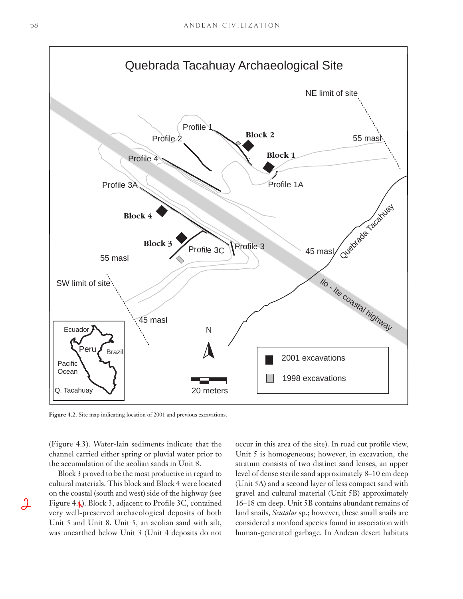

**Figure 4.2.** Site map indicating location of 2001 and previous excavations.

(Figure 4.3). Water-lain sediments indicate that the channel carried either spring or pluvial water prior to the accumulation of the aeolian sands in Unit 8.

Block 3 proved to be the most productive in regard to cultural materials. This block and Block 4 were located on the coastal (south and west) side of the highway (see Figure 4.1). Block 3, adjacent to Profile 3C, contained very well-preserved archaeological deposits of both Unit 5 and Unit 8. Unit 5, an aeolian sand with silt, was unearthed below Unit 3 (Unit 4 deposits do not

occur in this area of the site). In road cut profile view, Unit 5 is homogeneous; however, in excavation, the stratum consists of two distinct sand lenses, an upper level of dense sterile sand approximately 8–10 cm deep (Unit 5A) and a second layer of less compact sand with gravel and cultural material (Unit 5B) approximately 16–18 cm deep. Unit 5B contains abundant remains of land snails, *Scutalus* sp.; however, these small snails are considered a nonfood species found in association with human-generated garbage. In Andean desert habitats

 $\lambda$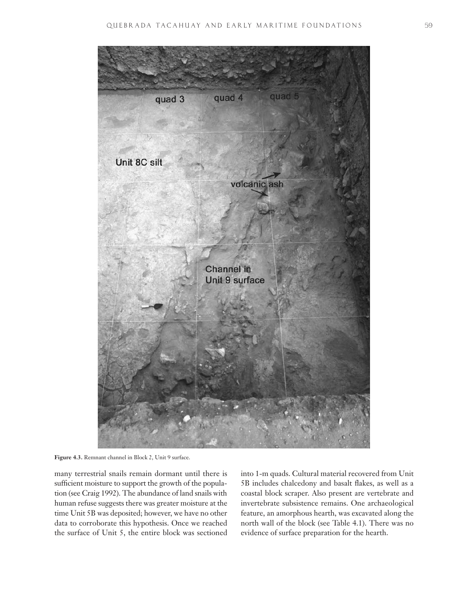

**Figure 4.3.** Remnant channel in Block 2, Unit 9 surface.

many terrestrial snails remain dormant until there is sufficient moisture to support the growth of the population (see Craig 1992). The abundance of land snails with human refuse suggests there was greater moisture at the time Unit 5B was deposited; however, we have no other data to corroborate this hypothesis. Once we reached the surface of Unit 5, the entire block was sectioned

into 1-m quads. Cultural material recovered from Unit 5B includes chalcedony and basalt flakes, as well as a coastal block scraper. Also present are vertebrate and invertebrate subsistence remains. One archaeological feature, an amorphous hearth, was excavated along the north wall of the block (see Table 4.1). There was no evidence of surface preparation for the hearth.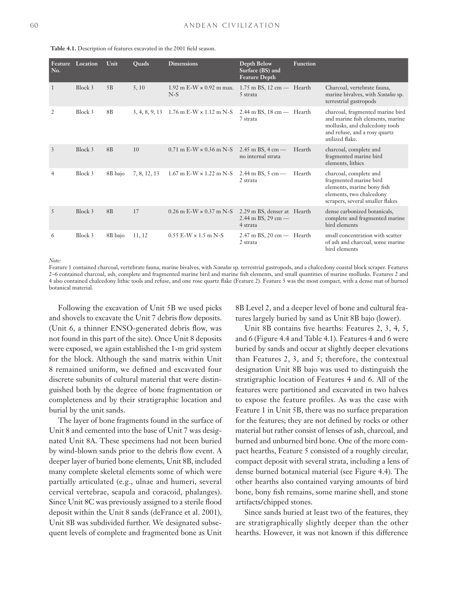| Feature<br>No. | Location | Unit      | Quads          | <b>Dimensions</b>                                              | Depth Below<br>Surface (BS) and<br><b>Feature Depth</b>                           | Function |                                                                                                                                                            |
|----------------|----------|-----------|----------------|----------------------------------------------------------------|-----------------------------------------------------------------------------------|----------|------------------------------------------------------------------------------------------------------------------------------------------------------------|
| $\mathbf{1}$   | Block 3  | 5B        | 5, 10          | 1.92 m $E-W \times 0.92$ m max.<br>$N-S$                       | $1.75$ m BS, 12 cm - Hearth<br>5 strata                                           |          | Charcoal, vertebrate fauna,<br>marine bivalves, with Scutalus sp.<br>terrestrial gastropods                                                                |
| 2              | Block 3  | <b>8B</b> | 3, 4, 8, 9, 13 | $1.76 \text{ m} \text{ E-W} \times 1.12 \text{ m} \text{ N-S}$ | 2.44 m BS, 18 cm - Hearth<br>7 strata                                             |          | charcoal, fragmented marine bird<br>and marine fish elements, marine<br>mollusks, and chalcedony tools<br>and refuse, and a rosy quartz<br>utilized flake. |
| 3              | Block 3  | 8B        | 10             | $0.71$ m E-W $\times$ 0.36 m N-S                               | 2.45 m BS, $4 \text{ cm}$ —<br>no internal strata                                 | Hearth   | charcoal, complete and<br>fragmented marine bird<br>elements, lithics                                                                                      |
| $\overline{4}$ | Block 3  | 8B bajo   | 7, 8, 12, 13   | $1.67 \text{ m}$ E-W $\times$ 1.22 m N-S                       | 2.44 m BS, $5 \text{ cm} -$<br>2 strata                                           | Hearth   | charcoal, complete and<br>fragmented marine bird<br>elements, marine bony fish<br>elements, two chalcedony<br>scrapers, several smaller flakes             |
| 5              | Block 3  | <b>8B</b> | 17             | $0.26$ m E-W $\times$ 0.37 m N-S                               | 2.29 m BS, denser at Hearth<br>$2.44 \text{ m}$ BS, $29 \text{ cm}$ —<br>4 strata |          | dense carbonized botanicals,<br>complete and fragmented marine<br>bird elements                                                                            |
| 6              | Block 3  | 8B bajo   | 11, 12         | $0.55$ E-W $\times$ 1.5 m N-S                                  | $2.47 \text{ m}$ BS, $20 \text{ cm}$ - Hearth<br>2 strata                         |          | small concentration with scatter<br>of ash and charcoal, some marine<br>bird elements                                                                      |

 **Table 4.1.** Description of features excavated in the 2001 field season.

*Note:*

Feature 1 contained charcoal, vertebrate fauna, marine bivalves, with *Scutalus* sp. terrestrial gastropods, and a chalcedony coastal block scraper. Features 2–6 contained charcoal, ash, complete and fragmented marine bird and marine fish elements, and small quantities of marine mollusks. Features 2 and 4 also contained chalcedony lithic tools and refuse, and one rose quartz flake (Feature 2). Feature 5 was the most compact, with a dense mat of burned botanical material.

Following the excavation of Unit 5B we used picks and shovels to excavate the Unit 7 debris flow deposits. (Unit 6, a thinner ENSO-generated debris flow, was not found in this part of the site). Once Unit 8 deposits were exposed, we again established the 1-m grid system for the block. Although the sand matrix within Unit 8 remained uniform, we defined and excavated four discrete subunits of cultural material that were distinguished both by the degree of bone fragmentation or completeness and by their stratigraphic location and burial by the unit sands.

The layer of bone fragments found in the surface of Unit 8 and cemented into the base of Unit 7 was designated Unit 8A. These specimens had not been buried by wind-blown sands prior to the debris flow event. A deeper layer of buried bone elements, Unit 8B, included many complete skeletal elements some of which were partially articulated (e.g., ulnae and humeri, several cervical vertebrae, scapula and coracoid, phalanges). Since Unit 8C was previously assigned to a sterile flood deposit within the Unit 8 sands (deFrance et al. 2001), Unit 8B was subdivided further. We designated subsequent levels of complete and fragmented bone as Unit

8B Level 2, and a deeper level of bone and cultural features largely buried by sand as Unit 8B bajo (lower).

Unit 8B contains five hearths: Features 2, 3, 4, 5, and 6 (Figure 4.4 and Table 4.1). Features 4 and 6 were buried by sands and occur at slightly deeper elevations than Features 2, 3, and 5; therefore, the contextual designation Unit 8B bajo was used to distinguish the stratigraphic location of Features 4 and 6. All of the features were partitioned and excavated in two halves to expose the feature profiles. As was the case with Feature 1 in Unit 5B, there was no surface preparation for the features; they are not defined by rocks or other material but rather consist of lenses of ash, charcoal, and burned and unburned bird bone. One of the more compact hearths, Feature 5 consisted of a roughly circular, compact deposit with several strata, including a lens of dense burned botanical material (see Figure 4.4). The other hearths also contained varying amounts of bird bone, bony fish remains, some marine shell, and stone artifacts/chipped stones.

Since sands buried at least two of the features, they are stratigraphically slightly deeper than the other hearths. However, it was not known if this difference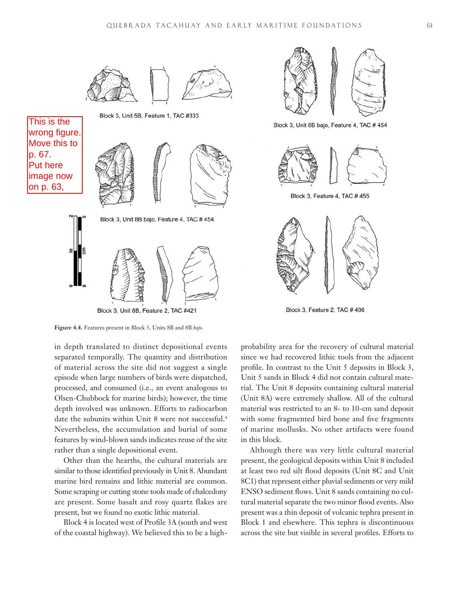

**Figure 4.4.** Features present in Block 3, Units 8B and 8B *bajo*.

in depth translated to distinct depositional events separated temporally. The quantity and distribution of material across the site did not suggest a single episode when large numbers of birds were dispatched, processed, and consumed (i.e., an event analogous to Olsen-Chubbock for marine birds); however, the time depth involved was unknown. Efforts to radiocarbon date the subunits within Unit 8 were not successful.<sup>4</sup> Nevertheless, the accumulation and burial of some features by wind-blown sands indicates reuse of the site rather than a single depositional event.

Other than the hearths, the cultural materials are similar to those identified previously in Unit 8. Abundant marine bird remains and lithic material are common. Some scraping or cutting stone tools made of chalcedony are present. Some basalt and rosy quartz flakes are present, but we found no exotic lithic material.

Block 4 is located west of Profile 3A (south and west of the coastal highway). We believed this to be a high-



Block 3, Unit 8B bajo, Feature 4, TAC # 454



Block 3, Feature 2, TAC # 486

probability area for the recovery of cultural material since we had recovered lithic tools from the adjacent profile. In contrast to the Unit 5 deposits in Block 3, Unit 5 sands in Block 4 did not contain cultural material. The Unit 8 deposits containing cultural material (Unit 8A) were extremely shallow. All of the cultural material was restricted to an 8- to 10-cm sand deposit with some fragmented bird bone and five fragments of marine mollusks. No other artifacts were found in this block.

Although there was very little cultural material present, the geological deposits within Unit 8 included at least two red silt flood deposits (Unit 8C and Unit 8C1) that represent either pluvial sediments or very mild ENSO sediment flows. Unit 8 sands containing no cultural material separate the two minor flood events. Also present was a thin deposit of volcanic tephra present in Block 1 and elsewhere. This tephra is discontinuous across the site but visible in several profiles. Efforts to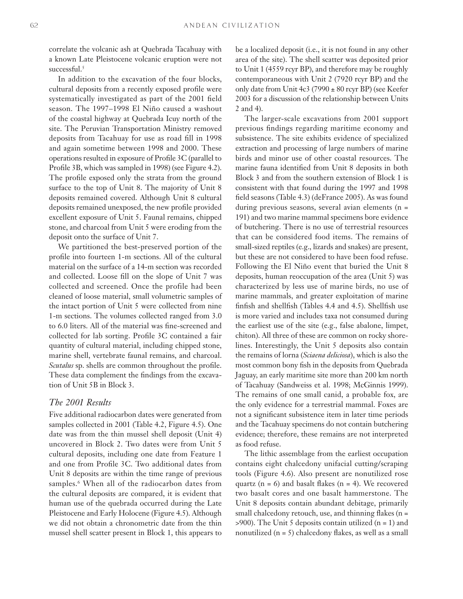correlate the volcanic ash at Quebrada Tacahuay with a known Late Pleistocene volcanic eruption were not successful.<sup>5</sup>

In addition to the excavation of the four blocks, cultural deposits from a recently exposed profile were systematically investigated as part of the 2001 field season. The 1997–1998 El Niño caused a washout of the coastal highway at Quebrada Icuy north of the site. The Peruvian Transportation Ministry removed deposits from Tacahuay for use as road fill in 1998 and again sometime between 1998 and 2000. These operations resulted in exposure of Profile 3C (parallel to Profile 3B, which was sampled in 1998) (see Figure 4.2). The profile exposed only the strata from the ground surface to the top of Unit 8. The majority of Unit 8 deposits remained covered. Although Unit 8 cultural deposits remained unexposed, the new profile provided excellent exposure of Unit 5. Faunal remains, chipped stone, and charcoal from Unit 5 were eroding from the deposit onto the surface of Unit 7.

We partitioned the best-preserved portion of the profile into fourteen 1-m sections. All of the cultural material on the surface of a 14-m section was recorded and collected. Loose fill on the slope of Unit 7 was collected and screened. Once the profile had been cleaned of loose material, small volumetric samples of the intact portion of Unit 5 were collected from nine 1-m sections. The volumes collected ranged from 3.0 to 6.0 liters. All of the material was fine-screened and collected for lab sorting. Profile 3C contained a fair quantity of cultural material, including chipped stone, marine shell, vertebrate faunal remains, and charcoal. *Scutalus* sp. shells are common throughout the profile. These data complement the findings from the excavation of Unit 5B in Block 3.

#### *The 2001 Results*

Five additional radiocarbon dates were generated from samples collected in 2001 (Table 4.2, Figure 4.5). One date was from the thin mussel shell deposit (Unit 4) uncovered in Block 2. Two dates were from Unit 5 cultural deposits, including one date from Feature 1 and one from Profile 3C. Two additional dates from Unit 8 deposits are within the time range of previous samples.<sup>6</sup> When all of the radiocarbon dates from the cultural deposits are compared, it is evident that human use of the quebrada occurred during the Late Pleistocene and Early Holocene (Figure 4.5). Although we did not obtain a chronometric date from the thin mussel shell scatter present in Block 1, this appears to

be a localized deposit (i.e., it is not found in any other area of the site). The shell scatter was deposited prior to Unit 1 (4559 rcyr BP), and therefore may be roughly contemporaneous with Unit 2 (7920 rcyr BP) and the only date from Unit  $4c3$  (7990  $\pm$  80 rcyr BP) (see Keefer 2003 for a discussion of the relationship between Units 2 and 4).

The larger-scale excavations from 2001 support previous findings regarding maritime economy and subsistence. The site exhibits evidence of specialized extraction and processing of large numbers of marine birds and minor use of other coastal resources. The marine fauna identified from Unit 8 deposits in both Block 3 and from the southern extension of Block 1 is consistent with that found during the 1997 and 1998 field seasons (Table 4.3) (deFrance 2005). As was found during previous seasons, several avian elements (n = 191) and two marine mammal specimens bore evidence of butchering. There is no use of terrestrial resources that can be considered food items. The remains of small-sized reptiles (e.g., lizards and snakes) are present, but these are not considered to have been food refuse. Following the El Niño event that buried the Unit 8 deposits, human reoccupation of the area (Unit 5) was characterized by less use of marine birds, no use of marine mammals, and greater exploitation of marine finfish and shellfish (Tables 4.4 and 4.5). Shellfish use is more varied and includes taxa not consumed during the earliest use of the site (e.g., false abalone, limpet, chiton). All three of these are common on rocky shorelines. Interestingly, the Unit 5 deposits also contain the remains of lorna (*Sciaena deliciosa*), which is also the most common bony fish in the deposits from Quebrada Jaguay, an early maritime site more than 200 km north of Tacahuay (Sandweiss et al. 1998; McGinnis 1999). The remains of one small canid, a probable fox, are the only evidence for a terrestrial mammal. Foxes are not a significant subsistence item in later time periods and the Tacahuay specimens do not contain butchering evidence; therefore, these remains are not interpreted as food refuse.

The lithic assemblage from the earliest occupation contains eight chalcedony unifacial cutting/scraping tools (Figure 4.6). Also present are nonutilized rose quartz ( $n = 6$ ) and basalt flakes ( $n = 4$ ). We recovered two basalt cores and one basalt hammerstone. The Unit 8 deposits contain abundant debitage, primarily small chalcedony retouch, use, and thinning flakes (n = >900). The Unit 5 deposits contain utilized (n = 1) and nonutilized (n = 5) chalcedony flakes, as well as a small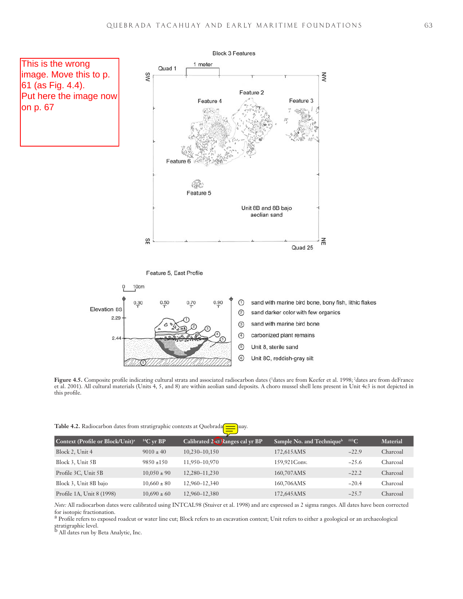

**Figure 4.5.** Composite profile indicating cultural strata and associated radiocarbon dates (1 dates are from Keefer et al. 1998; 2dates are from deFrance et al. 2001). All cultural materials (Units 4, 5, and 8) are within aeolian sand deposits. A choro mussel shell lens present in Unit 4c3 is not depicted in this profile.

|  |  | Table 4.2. Radiocarbon dates from stratigraphic contexts at Quebrada |  |  | luav. |  |
|--|--|----------------------------------------------------------------------|--|--|-------|--|
|  |  |                                                                      |  |  |       |  |

| Context (Profile or Block/Unit) <sup>a</sup> | ${}^{14}C$ vr BP | Calibrated $2\overline{\circ}$ Ranges cal yr BP | Sample No. and Technique $b$ $\delta$ <sup>13</sup> C |         | Material |
|----------------------------------------------|------------------|-------------------------------------------------|-------------------------------------------------------|---------|----------|
| Block 2, Unit 4                              | $9010 \pm 40$    | $10,230 - 10,150$                               | 172,615AMS                                            | $-22.9$ | Charcoal |
| Block 3, Unit 5B                             | $9850 \pm 150$   | 11,950-10,970                                   | 159,921Conv.                                          | $-25.6$ | Charcoal |
| Profile 3C, Unit 5B                          | $10,050 \pm 90$  | 12,280-11,230                                   | 160,707AMS                                            | $-22.2$ | Charcoal |
| Block 3, Unit 8B bajo                        | $10,660 \pm 80$  | 12,960-12,340                                   | 160,706AMS                                            | $-20.4$ | Charcoal |
| Profile 1A, Unit 8 (1998)                    | $10.690 \pm 60$  | 12,960-12,380                                   | 172,645AMS                                            | $-25.7$ | Charcoal |

*Note:* All radiocarbon dates were calibrated using INTCAL98 (Stuiver et al. 1998) and are expressed as 2 sigma ranges. All dates have been corrected

for isotopic fractionation.<br><sup>a</sup> Profile refers to exposed roadcut or water line cut; Block refers to an excavation context; Unit refers to either a geological or an archaeological stratigraphic level.<br><sup>b</sup> All dates run by Beta Analytic, Inc.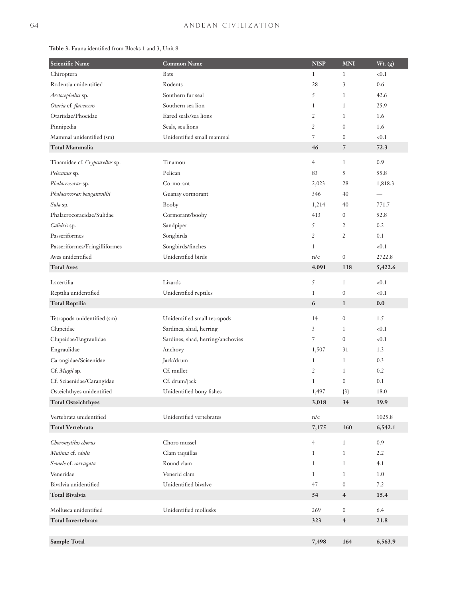#### **Table 3.** Fauna identified from Blocks 1 and 3, Unit 8.

| Scientific Name                | <b>Common Name</b>                | NISP           | <b>MNI</b>       | Wt. (g) |
|--------------------------------|-----------------------------------|----------------|------------------|---------|
| Chiroptera                     | <b>Bats</b>                       | $\mathbf{1}$   | $\mathbf{1}$     | < 0.1   |
| Rodentia unidentified          | Rodents                           | 28             | 3                | 0.6     |
| Arctocephalus sp.              | Southern fur seal                 | 5              | $\mathbf{1}$     | 42.6    |
| Otaria cf. flavescens          | Southern sea lion                 | $\mathbf{1}$   | 1                | 25.9    |
| Otariidae/Phocidae             | Eared seals/sea lions             | 2              | 1                | 1.6     |
| Pinnipedia                     | Seals, sea lions                  | $\overline{2}$ | $\mathbf{0}$     | 1.6     |
| Mammal unidentified (sm)       | Unidentified small mammal         | $7\phantom{.}$ | $\overline{0}$   | < 0.1   |
| <b>Total Mammalia</b>          |                                   | 46             | $\overline{7}$   | 72.3    |
| Tinamidae cf. Crypturellus sp. | Tinamou                           | $\overline{4}$ | $\mathbf{1}$     | 0.9     |
| Pelecanus sp.                  | Pelican                           | 83             | 5                | 55.8    |
| Phalacrocorax sp.              | Cormorant                         | 2,023          | 28               | 1,818.3 |
| Phalacrocorax bougainvillii    | Guanay cormorant                  | 346            | 40               |         |
| Sula sp.                       | Booby                             | 1,214          | 40               | 771.7   |
| Phalacrocoracidae/Sulidae      | Cormorant/booby                   | 413            | $\overline{0}$   | 52.8    |
| Calidris sp.                   | Sandpiper                         | 5              | 2                | 0.2     |
| Passeriformes                  | Songbirds                         | $\overline{2}$ | $\overline{2}$   | 0.1     |
| Passeriformes/Fringilliformes  | Songbirds/finches                 | $\mathbf{1}$   |                  | < 0.1   |
| Aves unidentified              | Unidentified birds                | n/c            | $\boldsymbol{0}$ | 2722.8  |
| <b>Total Aves</b>              |                                   | 4,091          | 118              | 5,422.6 |
| Lacertilia                     | Lizards                           | 5              | $\mathbf{1}$     | < 0.1   |
| Reptilia unidentified          | Unidentified reptiles             | $\mathbf{1}$   | $\boldsymbol{0}$ | < 0.1   |
| <b>Total Reptilia</b>          |                                   | 6              | $\mathbf{1}$     | 0.0     |
| Tetrapoda unidentified (sm)    | Unidentified small tetrapods      | 14             | $\mathbf{0}$     | 1.5     |
| Clupeidae                      | Sardines, shad, herring           | 3              | $\mathbf{1}$     | < 0.1   |
| Clupeidae/Engraulidae          | Sardines, shad, herring/anchovies | 7              | $\mathbf{0}$     | < 0.1   |
| Engraulidae                    | Anchovy                           | 1,507          | 31               | 1.3     |
| Carangidae/Sciaenidae          | Jack/drum                         | 1              | $\mathbf{1}$     | 0.3     |
| Cf. Mugil sp.                  | Cf. mullet                        | 2              | 1                | 0.2     |
| Cf. Sciaenidae/Carangidae      | Cf. drum/jack                     | $\mathbf{1}$   | $\boldsymbol{0}$ | 0.1     |
| Osteichthyes unidentified      | Unidentified bony fishes          | 1,497          | ${3}$            | 18.0    |
| <b>Total Osteichthyes</b>      |                                   | 3,018          | 34               | 19.9    |
| Vertebrata unidentified        | Unidentified vertebrates          | n/c            |                  | 1025.8  |
| <b>Total Vertebrata</b>        |                                   | 7,175          | 160              | 6,542.1 |
| Choromytilus chorus            | Choro mussel                      | $\overline{4}$ | $\mathbf{1}$     | 0.9     |
| Mulinia cf. edulis             | Clam taquillas                    | $\mathbf{1}$   | $\mathbf{1}$     | 2.2     |
| Semele cf. corrugata           | Round clam                        | $\mathbf{1}$   | 1                | 4.1     |
| Veneridae                      | Venerid clam                      | $\mathbf{1}$   | 1                | 1.0     |
| Bivalvia unidentified          | Unidentified bivalve              | 47             | $\overline{0}$   | 7.2     |
| <b>Total Bivalvia</b>          |                                   | 54             | $\overline{4}$   | 15.4    |
|                                |                                   |                |                  |         |
| Mollusca unidentified          | Unidentified mollusks             | 269            | $\mathbf{0}$     | 6.4     |
| <b>Total Invertebrata</b>      |                                   | 323            | $\overline{4}$   | 21.8    |
|                                |                                   |                |                  |         |
| Sample Total                   |                                   | 7,498          | 164              | 6,563.9 |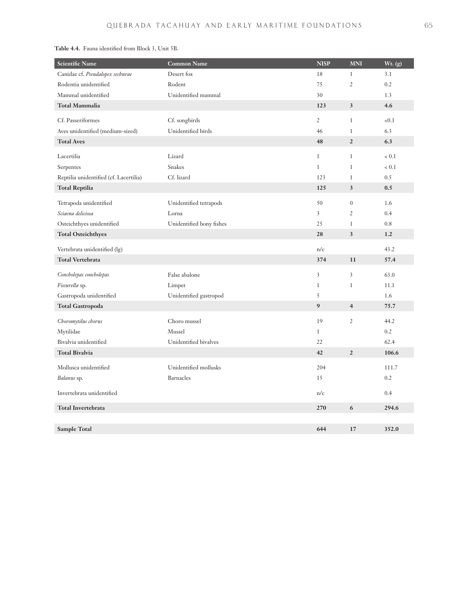#### **Table 4.4.** Fauna identified from Block 3, Unit 5B.

| <b>Scientific Name</b>                 | <b>Common Name</b>       | <b>NISP</b>    | <b>MNI</b>              | $Wt.$ $(g)$ |
|----------------------------------------|--------------------------|----------------|-------------------------|-------------|
| Canidae cf. Pseudalopex sechurae       | Desert fox               | 18             | $\mathbf{1}$            | 3.1         |
| Rodentia unidentified                  | Rodent                   | 75             | $\overline{2}$          | 0.2         |
| Mammal unidentified                    | Unidentified mammal      | 30             |                         | 1.3         |
| Total Mammalia                         |                          | 123            | 3                       | 4.6         |
| Cf. Passeriformes                      | Cf. songbirds            | $\overline{2}$ | $\mathbf{1}$            | < 0.1       |
| Aves unidentified (medium-sized)       | Unidentified birds       | 46             | $\mathbf{1}$            | 6.3         |
| <b>Total Aves</b>                      |                          | 48             | $\overline{2}$          | 6.3         |
| Lacertilia                             | Lizard                   | $\mathbf{1}$   | $\mathbf{1}$            | < 0.1       |
| Serpentes                              | Snakes                   | $\mathbf{1}$   | $\mathbf{1}$            | < 0.1       |
| Reptilia unidentified (cf. Lacertilia) | Cf. lizard               | 123            | $\mathbf{1}$            | 0.5         |
| <b>Total Reptilia</b>                  |                          | 125            | $\overline{\mathbf{3}}$ | 0.5         |
| Tetrapoda unidentified                 | Unidentified tetrapods   | 50             | $\Omega$                | 1.6         |
| Sciaena deliciosa                      | Lorna                    | $\overline{3}$ | $\overline{2}$          | 0.4         |
| Osteichthyes unidentified              | Unidentified bony fishes | 25             | $\mathbf{1}$            | 0.8         |
| <b>Total Osteichthyes</b>              |                          | 28             | $\overline{\mathbf{3}}$ | 1.2         |
| Vertebrata unidentified (lg)           |                          | n/c            |                         | 43.2        |
| <b>Total Vertebrata</b>                |                          | 374            | 11                      | 57.4        |
| Concholepas concholepas                | False abalone            | 3              | $\overline{3}$          | 63.0        |
| Fissurella sp.                         | Limpet                   | $\mathbf{1}$   | $\mathbf{1}$            | 11.1        |
| Gastropoda unidentified                | Unidentified gastropod   | 5              |                         | 1.6         |
| <b>Total Gastropoda</b>                |                          | 9              | $\overline{4}$          | 75.7        |
| Choromytilus chorus                    | Choro mussel             | 19             | $\overline{2}$          | 44.2        |
| Mytilidae                              | Mussel                   | $\mathbf{1}$   |                         | 0.2         |
| Bivalvia unidentified                  | Unidentified bivalves    | 22             |                         | 62.4        |
| <b>Total Bivalvia</b>                  |                          | 42             | $\overline{2}$          | 106.6       |
| Mollusca unidentified                  | Unidentified mollusks    | 204            |                         | 111.7       |
| Balanus sp.                            | Barnacles                | 15             |                         | 0.2         |
| Invertebrata unidentified              |                          | n/c            |                         | 0.4         |
| <b>Total Invertebrata</b>              |                          | 270            | 6                       | 294.6       |
|                                        |                          |                |                         |             |
| <b>Sample Total</b>                    |                          | 644            | 17                      | 352.0       |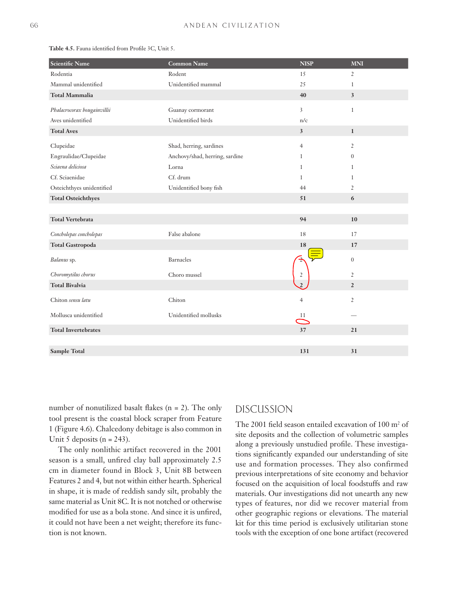| Scientific Name     | <b>Common Name</b>  |
|---------------------|---------------------|
| Rodentia            | Rodent              |
| Mammal unidentified | Unidentified mammal |

**Table 4.5.** Fauna identified from Profile 3C, Unit 5.

| <b>Scientific Name</b>      | <b>Common Name</b>             | <b>NISP</b>             | <b>MNI</b>       |
|-----------------------------|--------------------------------|-------------------------|------------------|
| Rodentia                    | Rodent                         | 15                      | 2                |
| Mammal unidentified         | Unidentified mammal            | 25                      | $\mathbf{1}$     |
| <b>Total Mammalia</b>       |                                | 40                      | 3                |
| Phalacrocorax bougainvillii | Guanay cormorant               | $\overline{3}$          | $\mathbf{1}$     |
| Aves unidentified           | Unidentified birds             | n/c                     |                  |
| <b>Total Aves</b>           |                                | $\overline{\mathbf{3}}$ | $\mathbf{1}$     |
| Clupeidae                   | Shad, herring, sardines        | 4                       | $\overline{2}$   |
| Engraulidae/Clupeidae       | Anchovy/shad, herring, sardine | $\mathbf{1}$            | $\Omega$         |
| Sciaena deliciosa           | Lorna                          | $\mathbf{1}$            | 1                |
| Cf. Sciaenidae              | Cf. drum                       | 1                       | 1                |
| Osteichthyes unidentified   | Unidentified bony fish         | 44                      | $\overline{2}$   |
| <b>Total Osteichthyes</b>   |                                | 51                      | 6                |
|                             |                                |                         |                  |
| <b>Total Vertebrata</b>     |                                | 94                      | 10               |
| Concholepas concholepas     | False abalone                  | 18                      | 17               |
| <b>Total Gastropoda</b>     |                                | 18                      | 17               |
| Balanus sp.                 | <b>Barnacles</b>               |                         | $\boldsymbol{0}$ |
| Choromytilus chorus         | Choro mussel                   | 2                       | $\overline{2}$   |
| <b>Total Bivalvia</b>       |                                |                         | $\overline{2}$   |
| Chiton sensu latu           | Chiton                         | $\overline{4}$          | $\overline{2}$   |
| Mollusca unidentified       | Unidentified mollusks          | 11<br>$\bigcirc$        |                  |
| <b>Total Invertebrates</b>  |                                | 37                      | 21               |
|                             |                                |                         |                  |
| <b>Sample Total</b>         |                                | 131                     | 31               |
|                             |                                |                         |                  |

number of nonutilized basalt flakes (n = 2). The only tool present is the coastal block scraper from Feature 1 (Figure 4.6). Chalcedony debitage is also common in Unit 5 deposits  $(n = 243)$ .

The only nonlithic artifact recovered in the 2001 season is a small, unfired clay ball approximately 2.5 cm in diameter found in Block 3, Unit 8B between Features 2 and 4, but not within either hearth. Spherical in shape, it is made of reddish sandy silt, probably the same material as Unit 8C. It is not notched or otherwise modified for use as a bola stone. And since it is unfired, it could not have been a net weight; therefore its function is not known.

## Discussion

The 2001 field season entailed excavation of 100 m<sup>2</sup> of site deposits and the collection of volumetric samples along a previously unstudied profile. These investigations significantly expanded our understanding of site use and formation processes. They also confirmed previous interpretations of site economy and behavior focused on the acquisition of local foodstuffs and raw materials. Our investigations did not unearth any new types of features, nor did we recover material from other geographic regions or elevations. The material kit for this time period is exclusively utilitarian stone tools with the exception of one bone artifact (recovered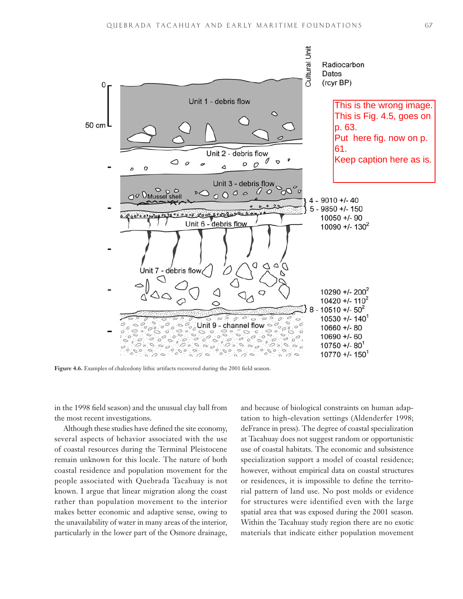

Figure 4.6. Examples of chalcedony lithic artifacts recovered during the 2001 field season.

in the 1998 field season) and the unusual clay ball from the most recent investigations.

Although these studies have defined the site economy, several aspects of behavior associated with the use of coastal resources during the Terminal Pleistocene remain unknown for this locale. The nature of both coastal residence and population movement for the people associated with Quebrada Tacahuay is not known. I argue that linear migration along the coast rather than population movement to the interior makes better economic and adaptive sense, owing to the unavailability of water in many areas of the interior, particularly in the lower part of the Osmore drainage,

and because of biological constraints on human adaptation to high-elevation settings (Aldenderfer 1998; deFrance in press). The degree of coastal specialization at Tacahuay does not suggest random or opportunistic use of coastal habitats. The economic and subsistence specialization support a model of coastal residence; however, without empirical data on coastal structures or residences, it is impossible to define the territorial pattern of land use. No post molds or evidence for structures were identified even with the large spatial area that was exposed during the 2001 season. Within the Tacahuay study region there are no exotic materials that indicate either population movement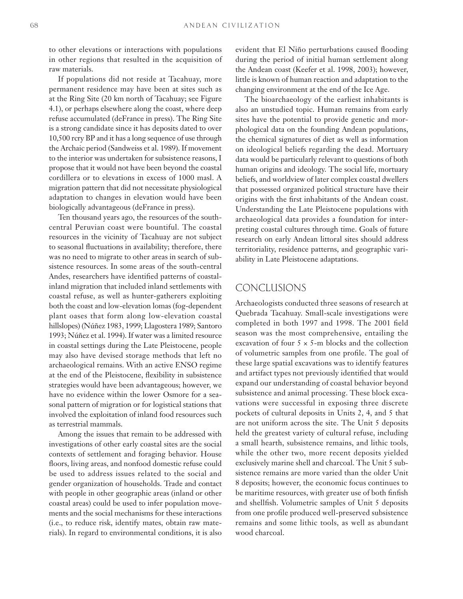to other elevations or interactions with populations in other regions that resulted in the acquisition of raw materials.

If populations did not reside at Tacahuay, more permanent residence may have been at sites such as at the Ring Site (20 km north of Tacahuay; see Figure 4.1), or perhaps elsewhere along the coast, where deep refuse accumulated (deFrance in press). The Ring Site is a strong candidate since it has deposits dated to over 10,500 rcry BP and it has a long sequence of use through the Archaic period (Sandweiss et al. 1989). If movement to the interior was undertaken for subsistence reasons, I propose that it would not have been beyond the coastal cordillera or to elevations in excess of 1000 masl. A migration pattern that did not necessitate physiological adaptation to changes in elevation would have been biologically advantageous (deFrance in press).

Ten thousand years ago, the resources of the southcentral Peruvian coast were bountiful. The coastal resources in the vicinity of Tacahuay are not subject to seasonal fluctuations in availability; therefore, there was no need to migrate to other areas in search of subsistence resources. In some areas of the south-central Andes, researchers have identified patterns of coastalinland migration that included inland settlements with coastal refuse, as well as hunter-gatherers exploiting both the coast and low-elevation lomas (fog-dependent plant oases that form along low-elevation coastal hillslopes) (Núñez 1983, 1999; Llagostera 1989; Santoro 1993; Núñez et al. 1994). If water was a limited resource in coastal settings during the Late Pleistocene, people may also have devised storage methods that left no archaeological remains. With an active ENSO regime at the end of the Pleistocene, flexibility in subsistence strategies would have been advantageous; however, we have no evidence within the lower Osmore for a seasonal pattern of migration or for logistical stations that involved the exploitation of inland food resources such as terrestrial mammals.

Among the issues that remain to be addressed with investigations of other early coastal sites are the social contexts of settlement and foraging behavior. House floors, living areas, and nonfood domestic refuse could be used to address issues related to the social and gender organization of households. Trade and contact with people in other geographic areas (inland or other coastal areas) could be used to infer population movements and the social mechanisms for these interactions (i.e., to reduce risk, identify mates, obtain raw materials). In regard to environmental conditions, it is also

evident that El Niño perturbations caused flooding during the period of initial human settlement along the Andean coast (Keefer et al. 1998, 2003); however, little is known of human reaction and adaptation to the changing environment at the end of the Ice Age.

The bioarchaeology of the earliest inhabitants is also an unstudied topic. Human remains from early sites have the potential to provide genetic and morphological data on the founding Andean populations, the chemical signatures of diet as well as information on ideological beliefs regarding the dead. Mortuary data would be particularly relevant to questions of both human origins and ideology. The social life, mortuary beliefs, and worldview of later complex coastal dwellers that possessed organized political structure have their origins with the first inhabitants of the Andean coast. Understanding the Late Pleistocene populations with archaeological data provides a foundation for interpreting coastal cultures through time. Goals of future research on early Andean littoral sites should address territoriality, residence patterns, and geographic variability in Late Pleistocene adaptations.

## Conclusions

Archaeologists conducted three seasons of research at Quebrada Tacahuay. Small-scale investigations were completed in both 1997 and 1998. The 2001 field season was the most comprehensive, entailing the excavation of four 5 × 5-m blocks and the collection of volumetric samples from one profile. The goal of these large spatial excavations was to identify features and artifact types not previously identified that would expand our understanding of coastal behavior beyond subsistence and animal processing. These block excavations were successful in exposing three discrete pockets of cultural deposits in Units 2, 4, and 5 that are not uniform across the site. The Unit 5 deposits held the greatest variety of cultural refuse, including a small hearth, subsistence remains, and lithic tools, while the other two, more recent deposits yielded exclusively marine shell and charcoal. The Unit 5 subsistence remains are more varied than the older Unit 8 deposits; however, the economic focus continues to be maritime resources, with greater use of both finfish and shellfish. Volumetric samples of Unit 5 deposits from one profile produced well-preserved subsistence remains and some lithic tools, as well as abundant wood charcoal.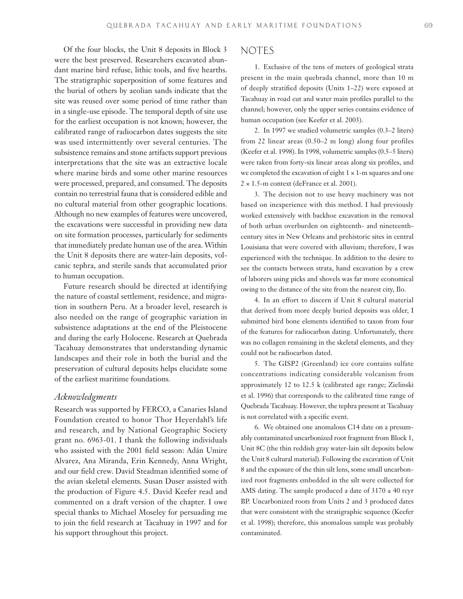Of the four blocks, the Unit 8 deposits in Block 3 were the best preserved. Researchers excavated abundant marine bird refuse, lithic tools, and five hearths. The stratigraphic superposition of some features and the burial of others by aeolian sands indicate that the site was reused over some period of time rather than in a single-use episode. The temporal depth of site use for the earliest occupation is not known; however, the calibrated range of radiocarbon dates suggests the site was used intermittently over several centuries. The subsistence remains and stone artifacts support previous interpretations that the site was an extractive locale where marine birds and some other marine resources were processed, prepared, and consumed. The deposits contain no terrestrial fauna that is considered edible and no cultural material from other geographic locations. Although no new examples of features were uncovered, the excavations were successful in providing new data on site formation processes, particularly for sediments that immediately predate human use of the area. Within the Unit 8 deposits there are water-lain deposits, volcanic tephra, and sterile sands that accumulated prior to human occupation.

Future research should be directed at identifying the nature of coastal settlement, residence, and migration in southern Peru. At a broader level, research is also needed on the range of geographic variation in subsistence adaptations at the end of the Pleistocene and during the early Holocene. Research at Quebrada Tacahuay demonstrates that understanding dynamic landscapes and their role in both the burial and the preservation of cultural deposits helps elucidate some of the earliest maritime foundations.

#### *Acknowledgments*

Research was supported by FERCO, a Canaries Island Foundation created to honor Thor Heyerdahl's life and research, and by National Geographic Society grant no. 6963-01. I thank the following individuals who assisted with the 2001 field season: Adán Umire Alvarez, Ana Miranda, Erin Kennedy, Anna Wright, and our field crew. David Steadman identified some of the avian skeletal elements. Susan Duser assisted with the production of Figure 4.5. David Keefer read and commented on a draft version of the chapter. I owe special thanks to Michael Moseley for persuading me to join the field research at Tacahuay in 1997 and for his support throughout this project.

### **NOTES**

1. Exclusive of the tens of meters of geological strata present in the main quebrada channel, more than 10 m of deeply stratified deposits (Units 1–22) were exposed at Tacahuay in road cut and water main profiles parallel to the channel; however, only the upper series contains evidence of human occupation (see Keefer et al. 2003).

2. In 1997 we studied volumetric samples (0.3–2 liters) from 22 linear areas (0.50–2 m long) along four profiles (Keefer et al. 1998). In 1998, volumetric samples (0.5–5 liters) were taken from forty-six linear areas along six profiles, and we completed the excavation of eight  $1 \times 1$ -m squares and one  $2 \times 1.5$ -m context (deFrance et al. 2001).

3. The decision not to use heavy machinery was not based on inexperience with this method. I had previously worked extensively with backhoe excavation in the removal of both urban overburden on eighteenth- and nineteenthcentury sites in New Orleans and prehistoric sites in central Louisiana that were covered with alluvium; therefore, I was experienced with the technique. In addition to the desire to see the contacts between strata, hand excavation by a crew of laborers using picks and shovels was far more economical owing to the distance of the site from the nearest city, Ilo.

4. In an effort to discern if Unit 8 cultural material that derived from more deeply buried deposits was older, I submitted bird bone elements identified to taxon from four of the features for radiocarbon dating. Unfortunately, there was no collagen remaining in the skeletal elements, and they could not be radiocarbon dated.

5. The GISP2 (Greenland) ice core contains sulfate concentrations indicating considerable volcanism from approximately 12 to 12.5 k (calibrated age range; Zielinski et al. 1996) that corresponds to the calibrated time range of Quebrada Tacahuay. However, the tephra present at Tacahuay is not correlated with a specific event.

6. We obtained one anomalous C14 date on a presumably contaminated uncarbonized root fragment from Block 1, Unit 8C (the thin reddish gray water-lain silt deposits below the Unit 8 cultural material). Following the excavation of Unit 8 and the exposure of the thin silt lens, some small uncarbonized root fragments embedded in the silt were collected for AMS dating. The sample produced a date of  $3170 \pm 40$  rcyr BP. Uncarbonized roots from Units 2 and 3 produced dates that were consistent with the stratigraphic sequence (Keefer et al. 1998); therefore, this anomalous sample was probably contaminated.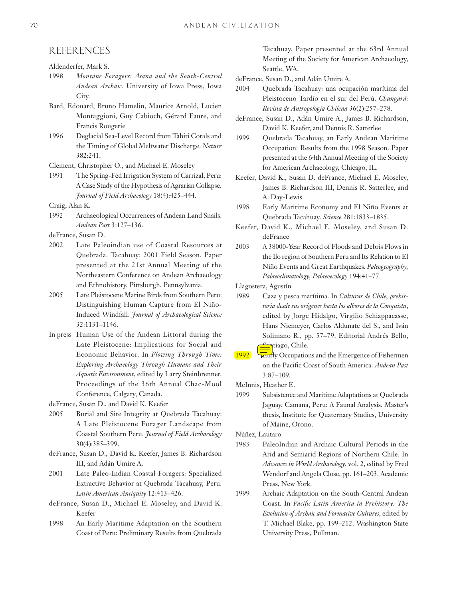# References

Aldenderfer, Mark S.

- 1998 *Montane Foragers: Asana and the South-Central Andean Archaic*. University of Iowa Press, Iowa City.
- Bard, Edouard, Bruno Hamelin, Maurice Arnold, Lucien Montaggioni, Guy Cabioch, Gérard Faure, and Francis Rougerie
- 1996 Deglacial Sea-Level Record from Tahiti Corals and the Timing of Global Meltwater Discharge. *Nature* 382:241.

Clement, Christopher O., and Michael E. Moseley

1991 The Spring-Fed Irrigation System of Carrizal, Peru: A Case Study of the Hypothesis of Agrarian Collapse. *Journal of Field Archaeology* 18(4):425–444.

Craig, Alan K.

1992 Archaeological Occurrences of Andean Land Snails. *Andean Past* 3:127–136.

deFrance, Susan D.

- 2002 Late Paleoindian use of Coastal Resources at Quebrada. Tacahuay: 2001 Field Season. Paper presented at the 21st Annual Meeting of the Northeastern Conference on Andean Archaeology and Ethnohistory, Pittsburgh, Pennsylvania.
- 2005 Late Pleistocene Marine Birds from Southern Peru: Distinguishing Human Capture from El Niño-Induced Windfall. *Journal of Archaeological Science* 32:1131–1146.
- In press Human Use of the Andean Littoral during the Late Pleistocene: Implications for Social and Economic Behavior. In *Flowing Through Time: Exploring Archaeology Through Humans and Their Aquatic Environment*, edited by Larry Steinbrenner. Proceedings of the 36th Annual Chac-Mool Conference, Calgary, Canada.

deFrance, Susan D., and David K. Keefer

- 2005 Burial and Site Integrity at Quebrada Tacahuay: A Late Pleistocene Forager Landscape from Coastal Southern Peru. *Journal of Field Archaeology* 30(4):385–399.
- deFrance, Susan D., David K. Keefer, James B. Richardson III, and Adán Umire A.
- 2001 Late Paleo-Indian Coastal Foragers: Specialized Extractive Behavior at Quebrada Tacahuay, Peru. *Latin American Antiquity* 12:413–426.
- deFrance, Susan D., Michael E. Moseley, and David K. Keefer
- 1998 An Early Maritime Adaptation on the Southern Coast of Peru: Preliminary Results from Quebrada

Tacahuay. Paper presented at the 63rd Annual Meeting of the Society for American Archaeology, Seattle, WA.

- deFrance, Susan D., and Adán Umire A.
- 2004 Quebrada Tacahuay: una ocupación marítima del Pleistoceno Tardío en el sur del Perú. *Chungará: Revista de Antropología Chilena* 36(2):257–278.
- deFrance, Susan D., Adán Umire A., James B. Richardson, David K. Keefer, and Dennis R. Satterlee
- 1999 Quebrada Tacahuay, an Early Andean Maritime Occupation: Results from the 1998 Season. Paper presented at the 64th Annual Meeting of the Society for American Archaeology, Chicago, IL.
- Keefer, David K., Susan D. deFrance, Michael E. Moseley, James B. Richardson III, Dennis R. Satterlee, and A. Day-Lewis
- 1998 Early Maritime Economy and El Niño Events at Quebrada Tacahuay. *Science* 281:1833–1835.
- Keefer, David K., Michael E. Moseley, and Susan D. deFrance
- 2003 A 38000-Year Record of Floods and Debris Flows in the Ilo region of Southern Peru and Its Relation to El Niño Events and Great Earthquakes. *Paleogeography, Palaeoclimatology, Palaeoecology* 194:41–77.

Llagostera, Agustín

- 1989 Caza y pesca marítima. In *Culturas de Chile, prehistoria desde sus orígenes hasta los albores de la Conquista*, edited by Jorge Hidalgo, Virgilio Schiappacasse, Hans Niemeyer, Carlos Aldunate del S., and Iván Solimano R., pp. 57–79. Editorial Andrés Bello, Stiago, Chile.
- $1992$   $\sqrt{\text{c}}$ arly Occupations and the Emergence of Fishermen on the Pacific Coast of South America. *Andean Past* 3:87–109.

McInnis, Heather E.

1999 Subsistence and Maritime Adaptations at Quebrada Jaguay, Camana, Peru: A Faunal Analysis. Master's thesis, Institute for Quaternary Studies, University of Maine, Orono.

Núñez, Lautaro

- 1983 PaleoIndian and Archaic Cultural Periods in the Arid and Semiarid Regions of Northern Chile. In *Advances in World Archaeology*, vol. 2, edited by Fred Wendorf and Angela Close, pp. 161–203. Academic Press, New York.
- 1999 Archaic Adaptation on the South-Central Andean Coast. In *Pacific Latin America in Prehistory: The Evolution of Archaic and Formative Cultures*, edited by T. Michael Blake, pp. 199–212. Washington State University Press, Pullman.